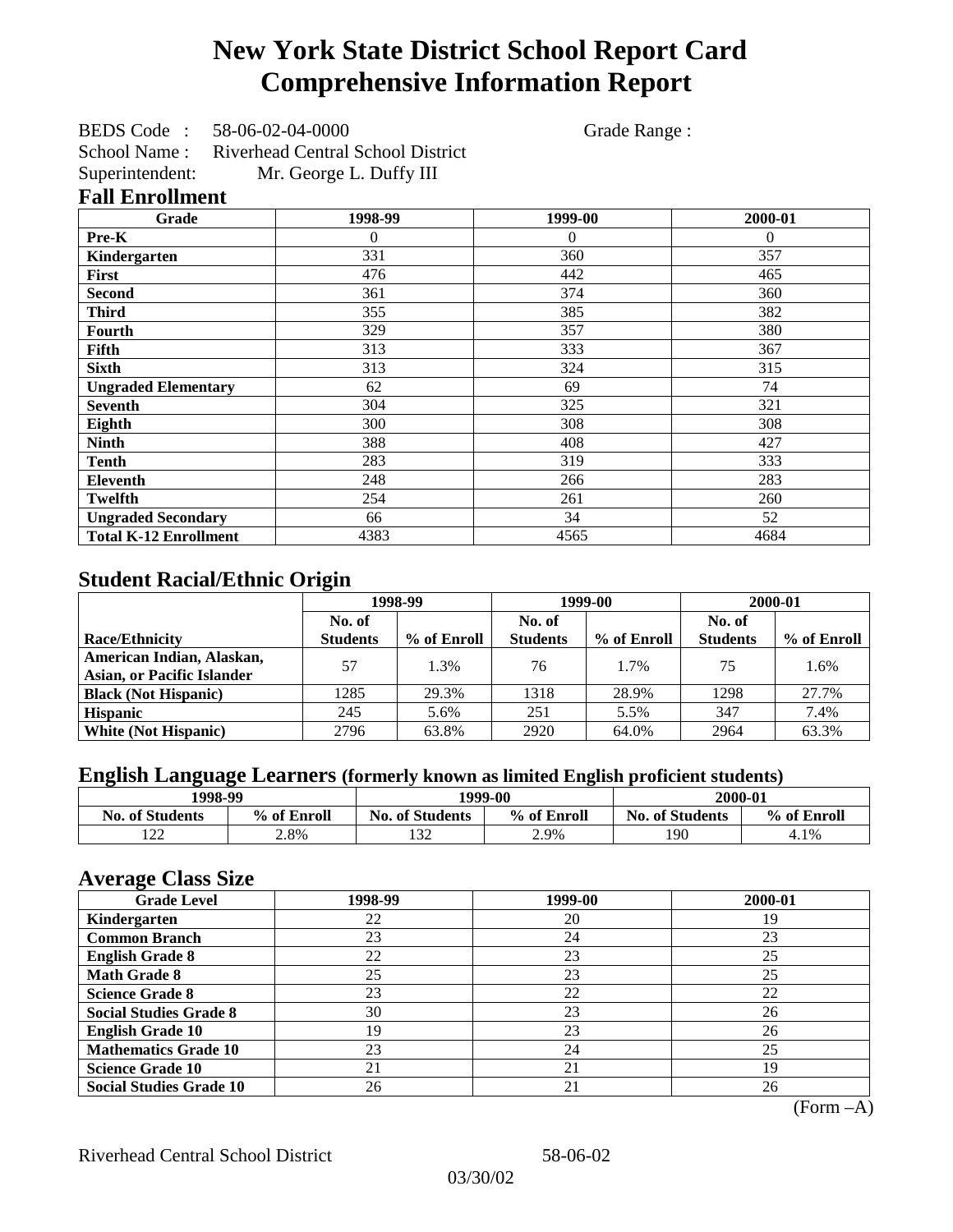# **New York State District School Report Card Comprehensive Information Report**

BEDS Code : 58-06-02-04-0000 Grade Range : School Name : Riverhead Central School District Superintendent: Mr. George L. Duffy III

### **Fall Enrollment**

| Grade                        | 1998-99  | 1999-00  | 2000-01  |
|------------------------------|----------|----------|----------|
| Pre-K                        | $\Omega$ | $\theta$ | $\Omega$ |
| Kindergarten                 | 331      | 360      | 357      |
| First                        | 476      | 442      | 465      |
| <b>Second</b>                | 361      | 374      | 360      |
| <b>Third</b>                 | 355      | 385      | 382      |
| Fourth                       | 329      | 357      | 380      |
| Fifth                        | 313      | 333      | 367      |
| <b>Sixth</b>                 | 313      | 324      | 315      |
| <b>Ungraded Elementary</b>   | 62       | 69       | 74       |
| <b>Seventh</b>               | 304      | 325      | 321      |
| Eighth                       | 300      | 308      | 308      |
| <b>Ninth</b>                 | 388      | 408      | 427      |
| <b>Tenth</b>                 | 283      | 319      | 333      |
| <b>Eleventh</b>              | 248      | 266      | 283      |
| <b>Twelfth</b>               | 254      | 261      | 260      |
| <b>Ungraded Secondary</b>    | 66       | 34       | 52       |
| <b>Total K-12 Enrollment</b> | 4383     | 4565     | 4684     |

### **Student Racial/Ethnic Origin**

|                                   | 1998-99         |             | 1999-00         |             | 2000-01         |             |
|-----------------------------------|-----------------|-------------|-----------------|-------------|-----------------|-------------|
|                                   | No. of          |             | No. of          |             | No. of          |             |
| <b>Race/Ethnicity</b>             | <b>Students</b> | % of Enroll | <b>Students</b> | % of Enroll | <b>Students</b> | % of Enroll |
| American Indian, Alaskan,         | 57              | 1.3%        | 76              | 1.7%        | 75              | 1.6%        |
| <b>Asian, or Pacific Islander</b> |                 |             |                 |             |                 |             |
| <b>Black (Not Hispanic)</b>       | 1285            | 29.3%       | 1318            | 28.9%       | 1298            | 27.7%       |
| <b>Hispanic</b>                   | 245             | 5.6%        | 251             | 5.5%        | 347             | 7.4%        |
| <b>White (Not Hispanic)</b>       | 2796            | 63.8%       | 2920            | 64.0%       | 2964            | 63.3%       |

## **English Language Learners (formerly known as limited English proficient students)**

| 1998-99                |             |                        | 2000-01<br>1999-00 |                        |             |
|------------------------|-------------|------------------------|--------------------|------------------------|-------------|
| <b>No. of Students</b> | % of Enroll | <b>No. of Students</b> | % of Enroll        | <b>No. of Students</b> | % of Enroll |
| $\sim$<br>-44          | 2.8%        | 132                    | 2.9%               | 190                    | 4.1%        |

### **Average Class Size**

| o<br><b>Grade Level</b>        | 1998-99 | 1999-00 | 2000-01 |
|--------------------------------|---------|---------|---------|
| Kindergarten                   | 22      | 20      | 19      |
| <b>Common Branch</b>           | 23      | 24      | 23      |
| <b>English Grade 8</b>         | 22      | 23      | 25      |
| <b>Math Grade 8</b>            | 25      | 23      | 25      |
| <b>Science Grade 8</b>         | 23      | 22      | 22      |
| <b>Social Studies Grade 8</b>  | 30      | 23      | 26      |
| <b>English Grade 10</b>        | 19      | 23      | 26      |
| <b>Mathematics Grade 10</b>    | 23      | 24      | 25      |
| <b>Science Grade 10</b>        | 21      | 21      | 19      |
| <b>Social Studies Grade 10</b> | 26      | 21      | 26      |

(Form –A)

Riverhead Central School District 58-06-02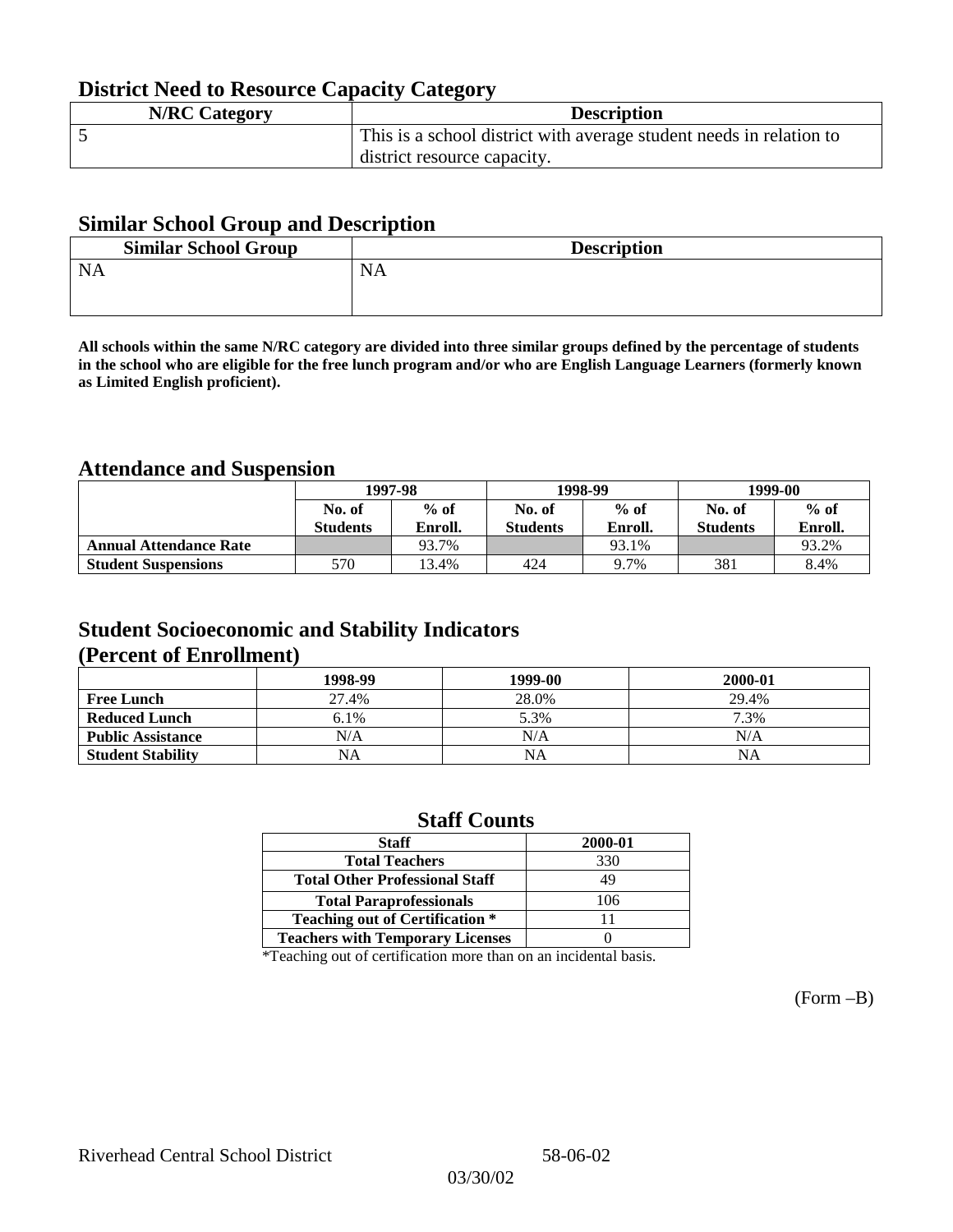## **District Need to Resource Capacity Category**

| <b>N/RC Category</b> | <b>Description</b>                                                  |
|----------------------|---------------------------------------------------------------------|
|                      | This is a school district with average student needs in relation to |
|                      | district resource capacity.                                         |

### **Similar School Group and Description**

| <b>Similar School Group</b> | <b>Description</b> |
|-----------------------------|--------------------|
| <b>NA</b>                   | <b>NA</b>          |
|                             |                    |

**All schools within the same N/RC category are divided into three similar groups defined by the percentage of students in the school who are eligible for the free lunch program and/or who are English Language Learners (formerly known as Limited English proficient).**

## **Attendance and Suspension**

|                               | 1997-98         |         |                 | 1998-99 | 1999-00         |         |
|-------------------------------|-----------------|---------|-----------------|---------|-----------------|---------|
|                               | No. of          | $%$ of  | No. of          | $%$ of  | No. of          | $%$ of  |
|                               | <b>Students</b> | Enroll. | <b>Students</b> | Enroll. | <b>Students</b> | Enroll. |
| <b>Annual Attendance Rate</b> |                 | 93.7%   |                 | 93.1%   |                 | 93.2%   |
| <b>Student Suspensions</b>    | 570             | 3.4%    | 424             | 9.7%    | 381             | 8.4%    |

### **Student Socioeconomic and Stability Indicators (Percent of Enrollment)**

|                          | 1998-99 | 1999-00 | 2000-01 |
|--------------------------|---------|---------|---------|
| <b>Free Lunch</b>        | 27.4%   | 28.0%   | 29.4%   |
| <b>Reduced Lunch</b>     | 6.1%    | 5.3%    | 7.3%    |
| <b>Public Assistance</b> | N/A     | N/A     | N/A     |
| <b>Student Stability</b> | NA      | NA      | NA      |

### **Staff Counts**

| <b>Staff</b>                            | 2000-01 |
|-----------------------------------------|---------|
| <b>Total Teachers</b>                   | 330     |
| <b>Total Other Professional Staff</b>   | 49      |
| <b>Total Paraprofessionals</b>          | 106     |
| <b>Teaching out of Certification *</b>  |         |
| <b>Teachers with Temporary Licenses</b> |         |

\*Teaching out of certification more than on an incidental basis.

(Form –B)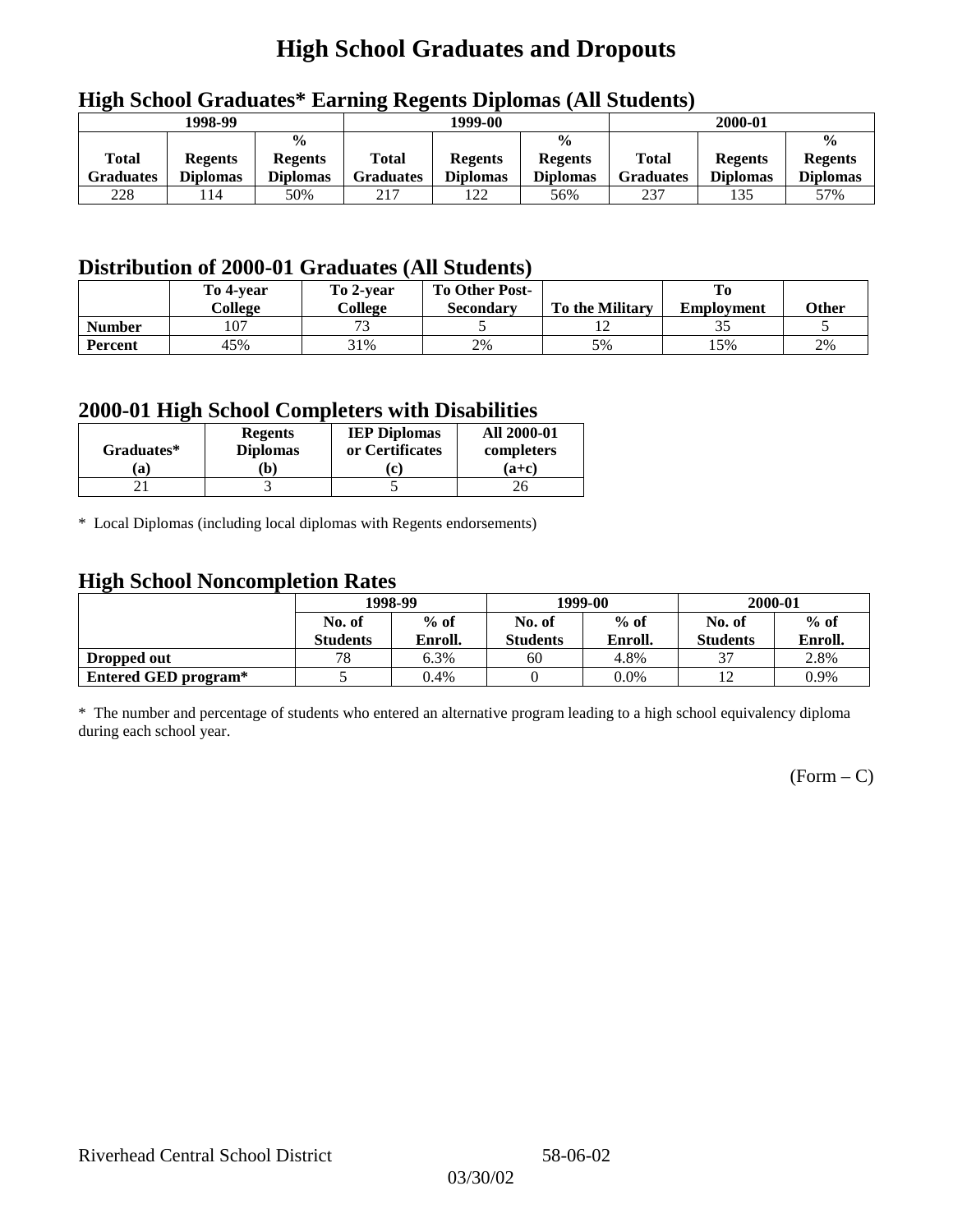# **High School Graduates and Dropouts**

|                           | 1998-99                           |                                                    |                           | -<br>1999-00                      |                                                    |                                  | 2000-01                           |                                                    |
|---------------------------|-----------------------------------|----------------------------------------------------|---------------------------|-----------------------------------|----------------------------------------------------|----------------------------------|-----------------------------------|----------------------------------------------------|
| Total<br><b>Graduates</b> | <b>Regents</b><br><b>Diplomas</b> | $\frac{6}{6}$<br><b>Regents</b><br><b>Diplomas</b> | Total<br><b>Graduates</b> | <b>Regents</b><br><b>Diplomas</b> | $\frac{0}{0}$<br><b>Regents</b><br><b>Diplomas</b> | <b>Total</b><br><b>Graduates</b> | <b>Regents</b><br><b>Diplomas</b> | $\frac{0}{0}$<br><b>Regents</b><br><b>Diplomas</b> |
| 228                       | 114                               | 50%                                                | 217                       | 122                               | 56%                                                | 237                              | 135                               | 57%                                                |

## **High School Graduates\* Earning Regents Diplomas (All Students)**

## **Distribution of 2000-01 Graduates (All Students)**

|                | To 4-vear<br>College | To 2-year<br>College     | <b>To Other Post-</b><br>Secondary | <b>To the Military</b> | <b>Employment</b> | <b>Other</b> |
|----------------|----------------------|--------------------------|------------------------------------|------------------------|-------------------|--------------|
| <b>Number</b>  | 107                  | $\overline{\phantom{a}}$ |                                    |                        | ت ب               |              |
| <b>Percent</b> | 45%                  | 31%                      | 2%                                 | 5%                     | l 5%              | 2%           |

### **2000-01 High School Completers with Disabilities**

| Graduates* | <b>Regents</b><br><b>Diplomas</b> | <b>IEP Diplomas</b><br>or Certificates | <b>All 2000-01</b><br>completers |
|------------|-----------------------------------|----------------------------------------|----------------------------------|
| a          | b)                                | r                                      | $(a+c)$                          |
|            |                                   |                                        |                                  |

\* Local Diplomas (including local diplomas with Regents endorsements)

### **High School Noncompletion Rates**

| $\tilde{\phantom{a}}$ | 1998-99<br>$%$ of<br>No. of |         |                 | 1999-00 | 2000-01         |         |
|-----------------------|-----------------------------|---------|-----------------|---------|-----------------|---------|
|                       |                             |         | No. of          | $%$ of  | No. of          | $%$ of  |
|                       | <b>Students</b>             | Enroll. | <b>Students</b> | Enroll. | <b>Students</b> | Enroll. |
| Dropped out           | 78                          | 6.3%    | 60              | 4.8%    | 27              | 2.8%    |
| Entered GED program*  |                             | 0.4%    |                 | $0.0\%$ | ∸               | 0.9%    |

\* The number and percentage of students who entered an alternative program leading to a high school equivalency diploma during each school year.

 $(Form - C)$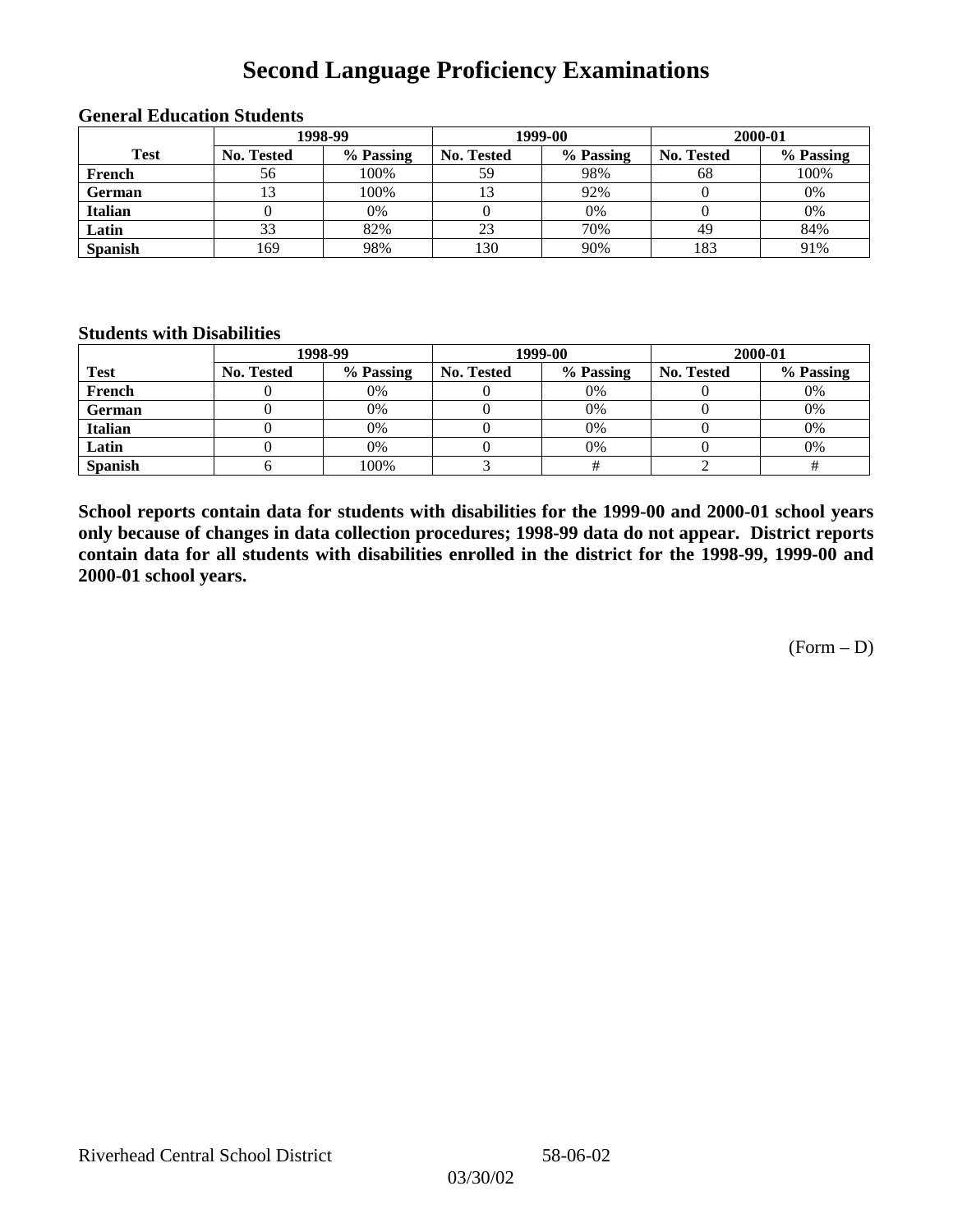## **Second Language Proficiency Examinations**

|                | 1998-99    |           |                   | 1999-00   | 2000-01           |           |  |
|----------------|------------|-----------|-------------------|-----------|-------------------|-----------|--|
| <b>Test</b>    | No. Tested | % Passing | <b>No. Tested</b> | % Passing | <b>No. Tested</b> | % Passing |  |
| French         | 56         | 100%      | 59                | 98%       | 68                | 100%      |  |
| <b>German</b>  |            | 100%      |                   | 92%       |                   | 0%        |  |
| <b>Italian</b> |            | 0%        |                   | 0%        |                   | 0%        |  |
| Latin          | 33         | 82%       | 23                | 70%       | 49                | 84%       |  |
| <b>Spanish</b> | 169        | 98%       | 130               | 90%       | 183               | 91%       |  |

#### **General Education Students**

### **Students with Disabilities**

|                | 1998-99    |           |                   | 1999-00   | 2000-01           |           |  |
|----------------|------------|-----------|-------------------|-----------|-------------------|-----------|--|
| <b>Test</b>    | No. Tested | % Passing | <b>No. Tested</b> | % Passing | <b>No. Tested</b> | % Passing |  |
| French         |            | $0\%$     |                   | 0%        |                   | 0%        |  |
| German         |            | 0%        |                   | 0%        |                   | 0%        |  |
| Italian        |            | 0%        |                   | 0%        |                   | 0%        |  |
| Latin          |            | 0%        |                   | 0%        |                   | 0%        |  |
| <b>Spanish</b> |            | 100%      |                   |           |                   |           |  |

**School reports contain data for students with disabilities for the 1999-00 and 2000-01 school years only because of changes in data collection procedures; 1998-99 data do not appear. District reports contain data for all students with disabilities enrolled in the district for the 1998-99, 1999-00 and 2000-01 school years.**

(Form – D)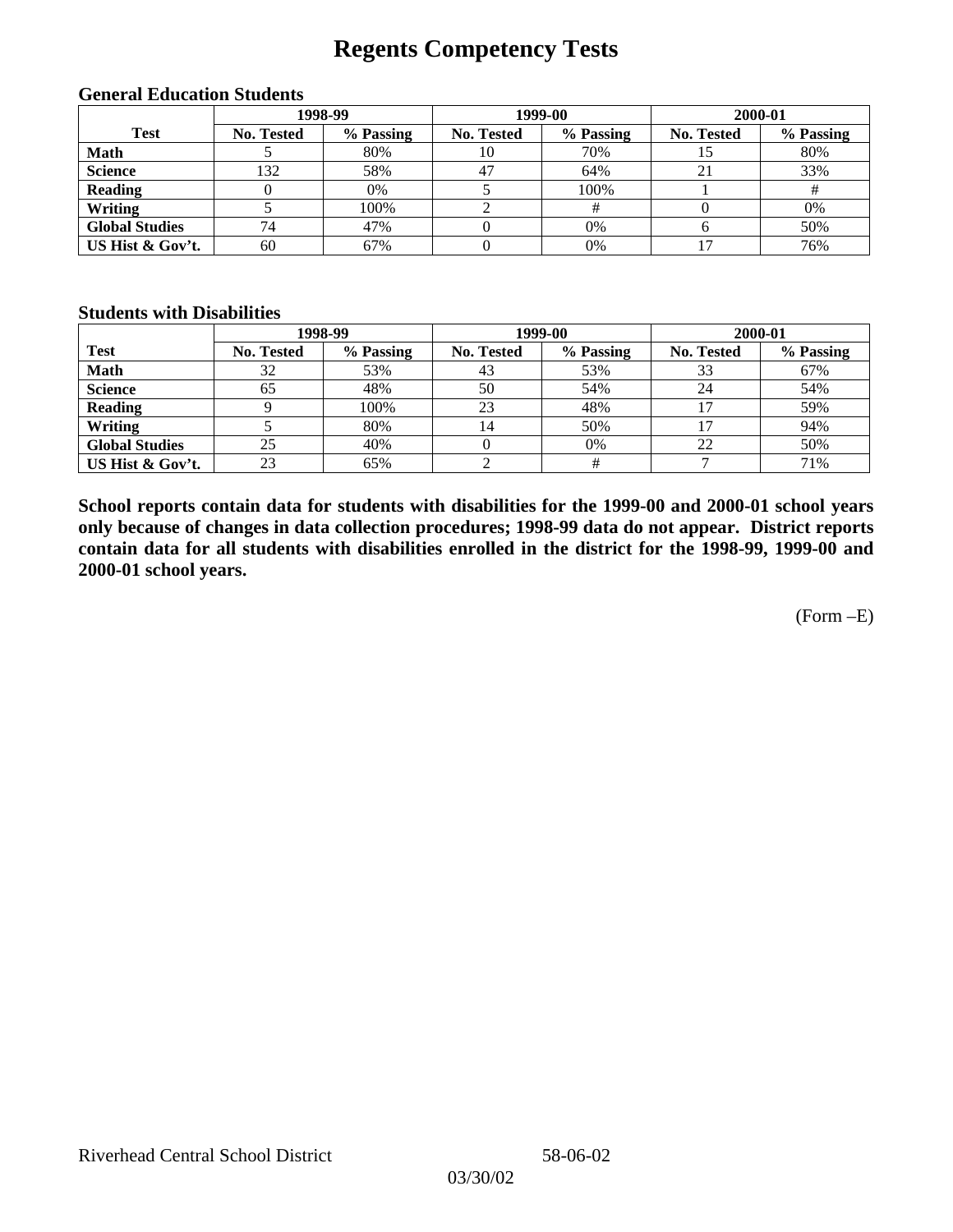## **Regents Competency Tests**

|                       | 1998-99    |           |            | 1999-00   | 2000-01           |           |  |
|-----------------------|------------|-----------|------------|-----------|-------------------|-----------|--|
| <b>Test</b>           | No. Tested | % Passing | No. Tested | % Passing | <b>No. Tested</b> | % Passing |  |
| <b>Math</b>           |            | 80%       | 10         | 70%       |                   | 80%       |  |
| <b>Science</b>        | 132        | 58%       | 47         | 64%       | 21                | 33%       |  |
| <b>Reading</b>        |            | 0%        |            | 100%      |                   |           |  |
| Writing               |            | 100%      |            |           |                   | 0%        |  |
| <b>Global Studies</b> | 74         | 47%       |            | 0%        |                   | 50%       |  |
| US Hist & Gov't.      | 60         | 67%       |            | 0%        |                   | 76%       |  |

#### **General Education Students**

### **Students with Disabilities**

|                       |                   | 1998-99   | 1999-00           |           | 2000-01           |           |
|-----------------------|-------------------|-----------|-------------------|-----------|-------------------|-----------|
| <b>Test</b>           | <b>No. Tested</b> | % Passing | <b>No. Tested</b> | % Passing | <b>No. Tested</b> | % Passing |
| <b>Math</b>           | 32                | 53%       | 43                | 53%       | 33                | 67%       |
| <b>Science</b>        | 65                | 48%       | 50                | 54%       | 24                | 54%       |
| <b>Reading</b>        |                   | 100%      | 23                | 48%       |                   | 59%       |
| Writing               |                   | 80%       | 14                | 50%       |                   | 94%       |
| <b>Global Studies</b> | 25                | 40%       |                   | 0%        | 22                | 50%       |
| US Hist & Gov't.      | 23                | 65%       |                   |           |                   | 71%       |

**School reports contain data for students with disabilities for the 1999-00 and 2000-01 school years only because of changes in data collection procedures; 1998-99 data do not appear. District reports contain data for all students with disabilities enrolled in the district for the 1998-99, 1999-00 and 2000-01 school years.**

(Form –E)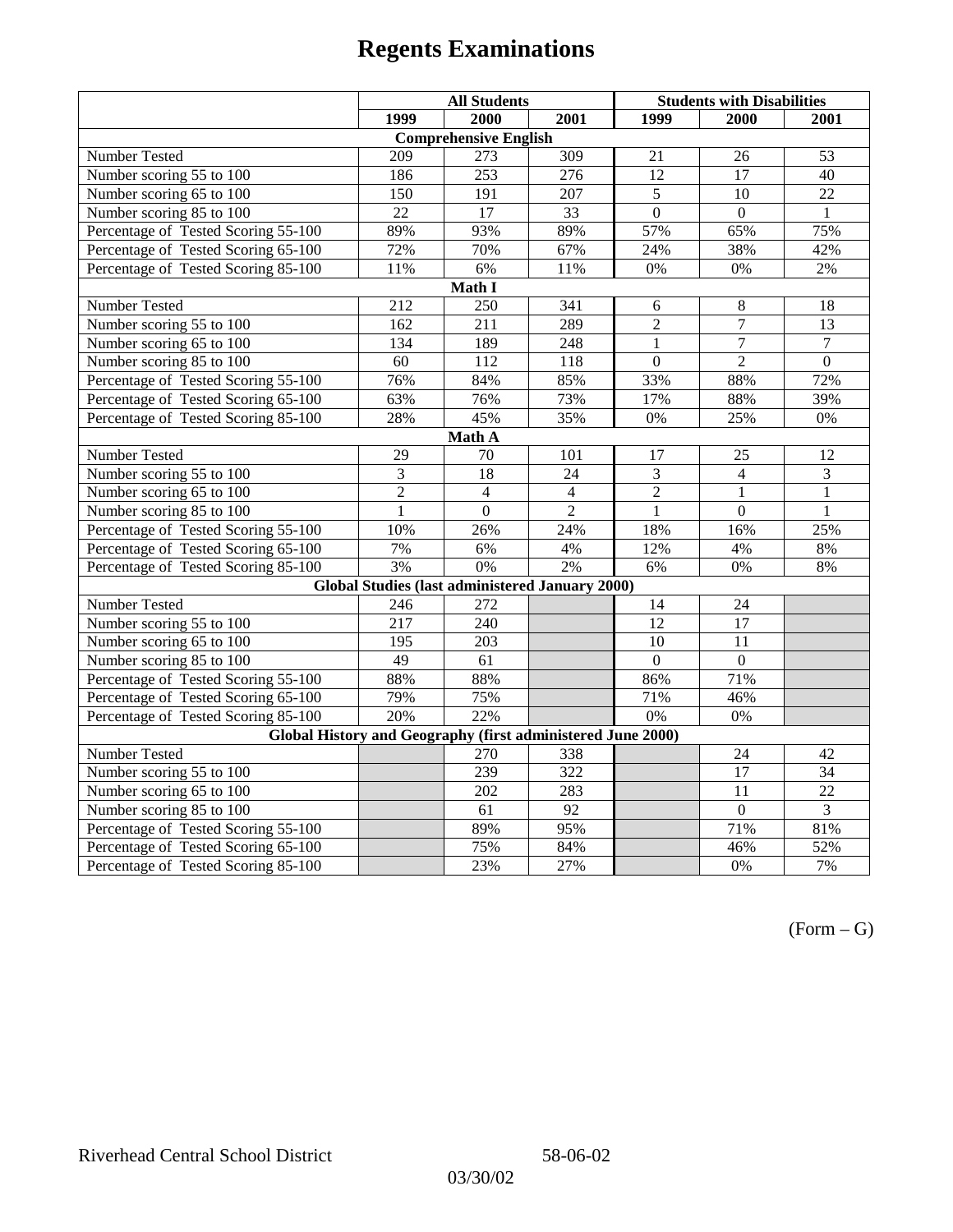|                                                             | <b>All Students</b>     |                                                        |                | <b>Students with Disabilities</b> |                 |                 |  |  |
|-------------------------------------------------------------|-------------------------|--------------------------------------------------------|----------------|-----------------------------------|-----------------|-----------------|--|--|
|                                                             | 1999                    | 2000                                                   | 2001           | 1999                              | 2000            | 2001            |  |  |
|                                                             |                         | <b>Comprehensive English</b>                           |                |                                   |                 |                 |  |  |
| Number Tested                                               | 209                     | 273                                                    | 309            | 21                                | 26              | 53              |  |  |
| Number scoring $55 \overline{\text{to } 100}$               | 186                     | $\overline{253}$                                       | 276            | $\overline{12}$                   | 17              | 40              |  |  |
| Number scoring 65 to 100                                    | 150                     | 191                                                    | 207            | 5                                 | $\overline{10}$ | $\overline{22}$ |  |  |
| Number scoring 85 to 100                                    | 22                      | 17                                                     | 33             | $\overline{0}$                    | $\Omega$        | $\mathbf{1}$    |  |  |
| Percentage of Tested Scoring 55-100                         | 89%                     | 93%                                                    | 89%            | 57%                               | 65%             | 75%             |  |  |
| Percentage of Tested Scoring 65-100                         | 72%                     | 70%                                                    | 67%            | 24%                               | 38%             | 42%             |  |  |
| Percentage of Tested Scoring 85-100                         | 11%                     | 6%                                                     | 11%            | $0\%$                             | 0%              | $2\%$           |  |  |
|                                                             |                         | Math I                                                 |                |                                   |                 |                 |  |  |
| Number Tested                                               | 212                     | 250                                                    | 341            | 6                                 | 8               | 18              |  |  |
| Number scoring 55 to 100                                    | 162                     | 211                                                    | 289            | $\overline{2}$                    | $\overline{7}$  | 13              |  |  |
| Number scoring 65 to 100                                    | 134                     | 189                                                    | 248            | 1                                 | $\overline{7}$  | $\overline{7}$  |  |  |
| Number scoring 85 to 100                                    | 60                      | 112                                                    | 118            | $\overline{0}$                    | $\overline{2}$  | $\overline{0}$  |  |  |
| Percentage of Tested Scoring 55-100                         | 76%                     | 84%                                                    | 85%            | 33%                               | 88%             | 72%             |  |  |
| Percentage of Tested Scoring 65-100                         | 63%                     | 76%                                                    | 73%            | 17%                               | 88%             | 39%             |  |  |
| Percentage of Tested Scoring 85-100                         | 28%                     | 45%                                                    | 35%            | $0\%$                             | 25%             | $0\%$           |  |  |
| Math A                                                      |                         |                                                        |                |                                   |                 |                 |  |  |
| Number Tested                                               | 29                      | 70                                                     | 101            | 17                                | 25              | 12              |  |  |
| Number scoring 55 to 100                                    | $\overline{\mathbf{3}}$ | 18                                                     | 24             | $\overline{3}$                    | $\overline{4}$  | $\overline{3}$  |  |  |
| Number scoring 65 to 100                                    | $\overline{2}$          | $\overline{4}$                                         | $\overline{4}$ | $\overline{2}$                    | $\mathbf{1}$    | $\mathbf{1}$    |  |  |
| Number scoring 85 to 100                                    | $\mathbf{1}$            | $\mathbf{0}$                                           | $\overline{2}$ | $\mathbf{1}$                      | $\mathbf{0}$    | 1               |  |  |
| Percentage of Tested Scoring 55-100                         | 10%                     | 26%                                                    | 24%            | 18%                               | 16%             | 25%             |  |  |
| Percentage of Tested Scoring 65-100                         | 7%                      | 6%                                                     | 4%             | 12%                               | 4%              | 8%              |  |  |
| Percentage of Tested Scoring 85-100                         | 3%                      | 0%                                                     | 2%             | 6%                                | 0%              | 8%              |  |  |
|                                                             |                         | <b>Global Studies (last administered January 2000)</b> |                |                                   |                 |                 |  |  |
| Number Tested                                               | 246                     | 272                                                    |                | 14                                | 24              |                 |  |  |
| Number scoring 55 to 100                                    | 217                     | 240                                                    |                | $\overline{12}$                   | $\overline{17}$ |                 |  |  |
| Number scoring 65 to 100                                    | 195                     | 203                                                    |                | 10                                | 11              |                 |  |  |
| Number scoring 85 to 100                                    | 49                      | 61                                                     |                | $\Omega$                          | $\Omega$        |                 |  |  |
| Percentage of Tested Scoring 55-100                         | 88%                     | 88%                                                    |                | 86%                               | 71%             |                 |  |  |
| Percentage of Tested Scoring 65-100                         | 79%                     | 75%                                                    |                | 71%                               | 46%             |                 |  |  |
| Percentage of Tested Scoring 85-100                         | 20%                     | 22%                                                    |                | 0%                                | 0%              |                 |  |  |
| Global History and Geography (first administered June 2000) |                         |                                                        |                |                                   |                 |                 |  |  |
| Number Tested                                               |                         | 270                                                    | 338            |                                   | 24              | 42              |  |  |
| Number scoring 55 to 100                                    |                         | 239                                                    | 322            |                                   | 17              | 34              |  |  |
| Number scoring 65 to 100                                    |                         | 202                                                    | 283            |                                   | 11              | $\overline{22}$ |  |  |
| Number scoring 85 to 100                                    |                         | 61                                                     | 92             |                                   | $\overline{0}$  | $\overline{3}$  |  |  |
| Percentage of Tested Scoring 55-100                         |                         | 89%                                                    | 95%            |                                   | 71%             | 81%             |  |  |
| Percentage of Tested Scoring 65-100                         |                         | 75%                                                    | 84%            |                                   | 46%             | 52%             |  |  |
| Percentage of Tested Scoring 85-100                         |                         | 23%                                                    | 27%            |                                   | 0%              | 7%              |  |  |

 $(Form - G)$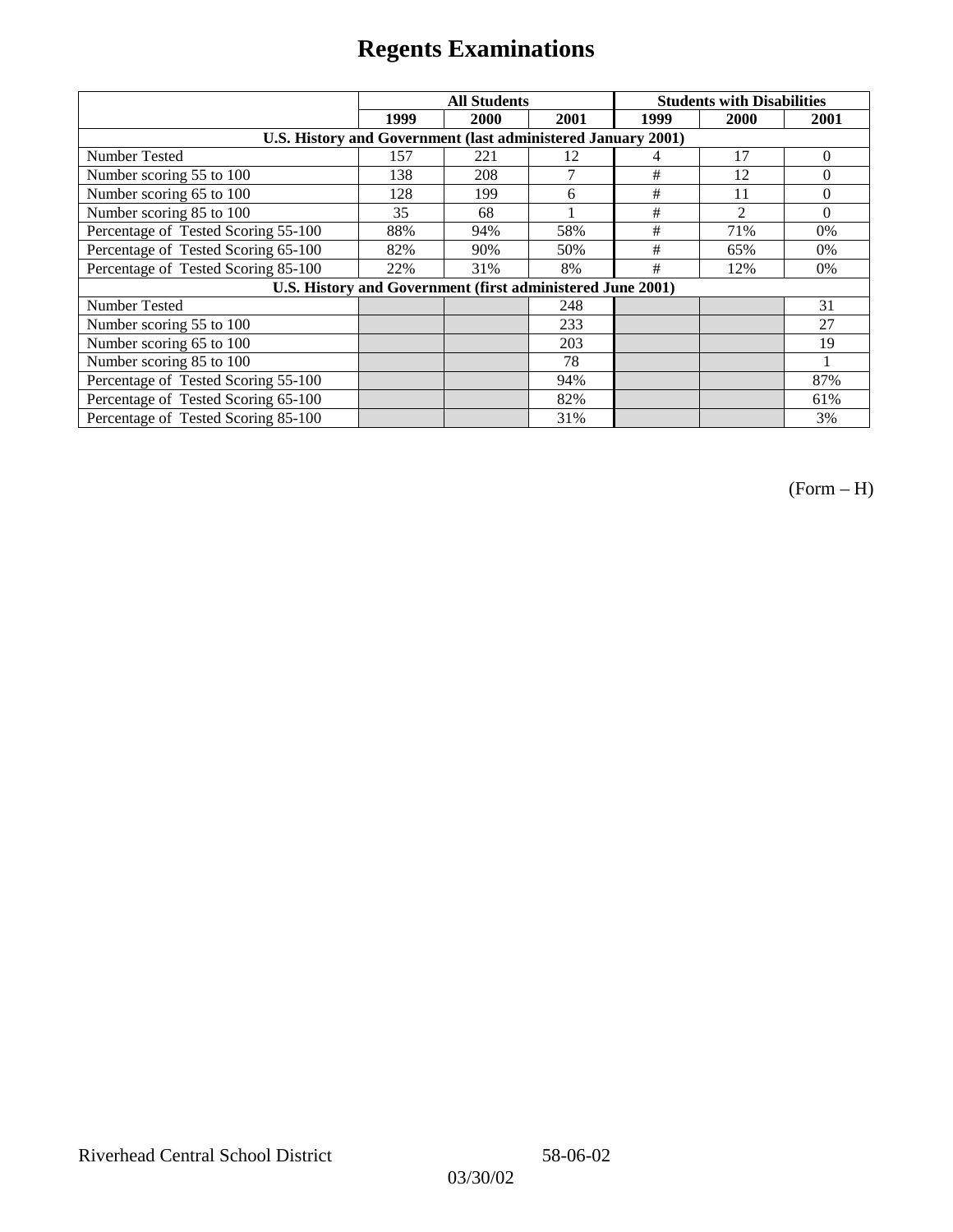|                                                              | <b>All Students</b> |      |      | <b>Students with Disabilities</b> |                |          |
|--------------------------------------------------------------|---------------------|------|------|-----------------------------------|----------------|----------|
|                                                              | 1999                | 2000 | 2001 | 1999                              | 2000           | 2001     |
| U.S. History and Government (last administered January 2001) |                     |      |      |                                   |                |          |
| Number Tested                                                | 157                 | 221  | 12   | 4                                 | 17             | $\Omega$ |
| Number scoring 55 to 100                                     | 138                 | 208  | 7    | #                                 | 12             | $\theta$ |
| Number scoring 65 to 100                                     | 128                 | 199  | 6    | $\#$                              | 11             | $\Omega$ |
| Number scoring 85 to 100                                     | 35                  | 68   |      | #                                 | $\mathfrak{D}$ | $\Omega$ |
| Percentage of Tested Scoring 55-100                          | 88%                 | 94%  | 58%  | #                                 | 71%            | 0%       |
| Percentage of Tested Scoring 65-100                          | 82%                 | 90%  | 50%  | #                                 | 65%            | $0\%$    |
| Percentage of Tested Scoring 85-100                          | 22%                 | 31%  | 8%   | #                                 | 12%            | $0\%$    |
| U.S. History and Government (first administered June 2001)   |                     |      |      |                                   |                |          |
| Number Tested                                                |                     |      | 248  |                                   |                | 31       |
| Number scoring 55 to 100                                     |                     |      | 233  |                                   |                | 27       |
| Number scoring 65 to 100                                     |                     |      | 203  |                                   |                | 19       |
| Number scoring 85 to 100                                     |                     |      | 78   |                                   |                |          |
| Percentage of Tested Scoring 55-100                          |                     |      | 94%  |                                   |                | 87%      |
| Percentage of Tested Scoring 65-100                          |                     |      | 82%  |                                   |                | 61%      |
| Percentage of Tested Scoring 85-100                          |                     |      | 31%  |                                   |                | 3%       |

(Form – H)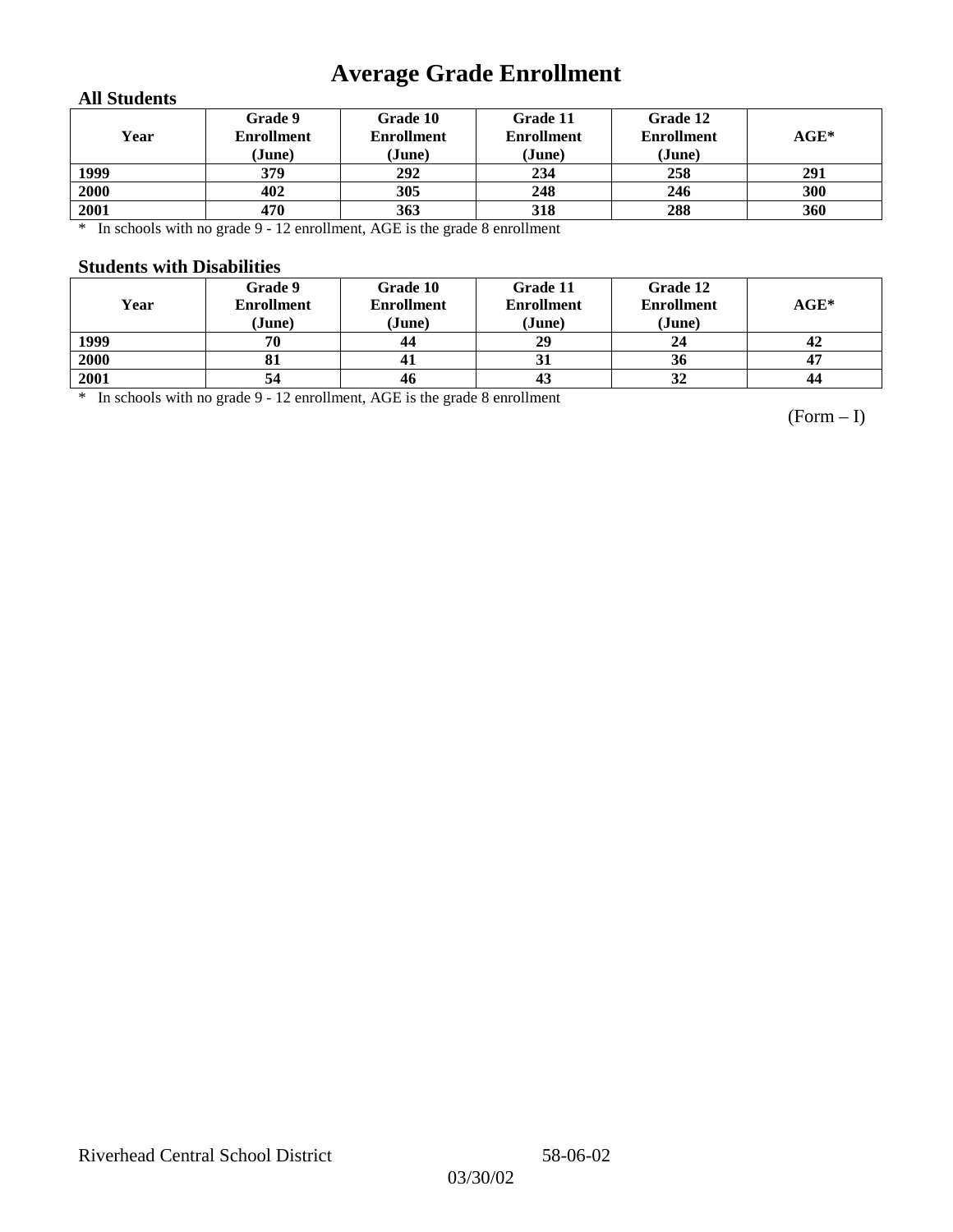# **Average Grade Enrollment**

### **All Students**

| Year | Grade 9<br><b>Enrollment</b><br>(June) | Grade 10<br><b>Enrollment</b><br>(June) | Grade 11<br><b>Enrollment</b><br>(June) | Grade 12<br><b>Enrollment</b><br>(June) | $AGE^*$ |
|------|----------------------------------------|-----------------------------------------|-----------------------------------------|-----------------------------------------|---------|
| 1999 | 379                                    | 292                                     | 234                                     | 258                                     | 291     |
| 2000 | 402                                    | 305                                     | 248                                     | 246                                     | 300     |
| 2001 | 470                                    | 363                                     | 318                                     | 288                                     | 360     |

\* In schools with no grade 9 - 12 enrollment, AGE is the grade 8 enrollment

#### **Students with Disabilities**

| Year | Grade 9<br><b>Enrollment</b><br>(June) | Grade 10<br><b>Enrollment</b><br>(June) | Grade 11<br><b>Enrollment</b><br>(June) | Grade 12<br><b>Enrollment</b><br>(June) | $AGE*$ |
|------|----------------------------------------|-----------------------------------------|-----------------------------------------|-----------------------------------------|--------|
| 1999 | 70                                     | 44                                      | 29                                      | 24                                      | 42     |
| 2000 | 81                                     | 41                                      |                                         | 36                                      | 47     |
| 2001 | 54                                     | 46                                      | 43                                      | 32                                      | 44     |

\* In schools with no grade 9 - 12 enrollment, AGE is the grade 8 enrollment

(Form – I)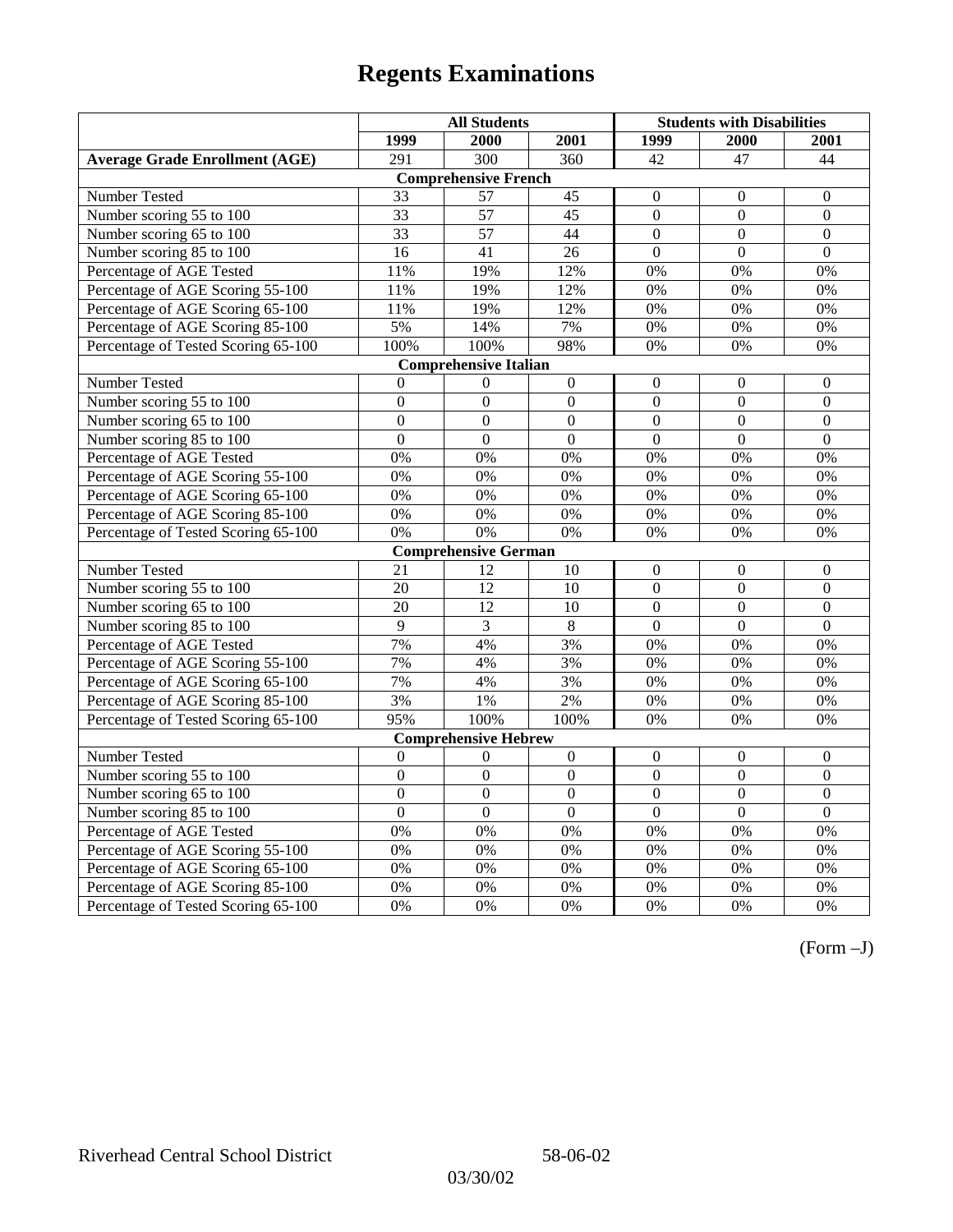|                                       | <b>All Students</b> |                              |                  | <b>Students with Disabilities</b> |                  |                  |
|---------------------------------------|---------------------|------------------------------|------------------|-----------------------------------|------------------|------------------|
|                                       | 1999                | 2000                         | 2001             | 1999                              | 2000             | 2001             |
| <b>Average Grade Enrollment (AGE)</b> | 291                 | $\overline{300}$             | 360              | 42                                | 47               | 44               |
|                                       |                     | <b>Comprehensive French</b>  |                  |                                   |                  |                  |
| <b>Number Tested</b>                  | 33                  | 57                           | 45               | $\mathbf{0}$                      | $\theta$         | $\mathbf{0}$     |
| Number scoring 55 to 100              | $\overline{33}$     | $\overline{57}$              | $\overline{45}$  | $\overline{0}$                    | $\overline{0}$   | $\overline{0}$   |
| Number scoring 65 to 100              | 33                  | 57                           | 44               | $\mathbf{0}$                      | $\mathbf{0}$     | $\mathbf{0}$     |
| Number scoring 85 to 100              | 16                  | 41                           | 26               | $\mathbf{0}$                      | $\mathbf{0}$     | $\mathbf{0}$     |
| Percentage of AGE Tested              | 11%                 | 19%                          | 12%              | $0\%$                             | 0%               | 0%               |
| Percentage of AGE Scoring 55-100      | 11%                 | 19%                          | 12%              | 0%                                | 0%               | 0%               |
| Percentage of AGE Scoring 65-100      | 11%                 | 19%                          | 12%              | 0%                                | 0%               | 0%               |
| Percentage of AGE Scoring 85-100      | 5%                  | 14%                          | 7%               | $0\%$                             | $0\%$            | $0\%$            |
| Percentage of Tested Scoring 65-100   | 100%                | 100%                         | 98%              | 0%                                | 0%               | 0%               |
|                                       |                     | <b>Comprehensive Italian</b> |                  |                                   |                  |                  |
| Number Tested                         | $\theta$            | $\boldsymbol{0}$             | $\Omega$         | $\Omega$                          | $\Omega$         | $\boldsymbol{0}$ |
| Number scoring 55 to 100              | $\boldsymbol{0}$    | $\boldsymbol{0}$             | $\boldsymbol{0}$ | $\overline{0}$                    | $\boldsymbol{0}$ | $\boldsymbol{0}$ |
| Number scoring 65 to 100              | $\mathbf{0}$        | $\overline{0}$               | $\mathbf{0}$     | $\overline{0}$                    | $\mathbf{0}$     | $\mathbf{0}$     |
| Number scoring 85 to 100              | $\overline{0}$      | $\overline{0}$               | $\overline{0}$   | $\overline{0}$                    | $\overline{0}$   | $\overline{0}$   |
| Percentage of AGE Tested              | 0%                  | 0%                           | 0%               | 0%                                | 0%               | 0%               |
| Percentage of AGE Scoring 55-100      | 0%                  | 0%                           | 0%               | 0%                                | 0%               | 0%               |
| Percentage of AGE Scoring 65-100      | 0%                  | 0%                           | 0%               | 0%                                | 0%               | 0%               |
| Percentage of AGE Scoring 85-100      | 0%                  | 0%                           | 0%               | 0%                                | 0%               | 0%               |
| Percentage of Tested Scoring 65-100   | 0%                  | 0%                           | 0%               | 0%                                | 0%               | 0%               |
|                                       |                     | <b>Comprehensive German</b>  |                  |                                   |                  |                  |
| Number Tested                         | 21                  | 12                           | 10               | $\overline{0}$                    | $\mathbf{0}$     | $\mathbf{0}$     |
| Number scoring 55 to 100              | 20                  | 12                           | 10               | $\overline{0}$                    | $\theta$         | $\boldsymbol{0}$ |
| Number scoring 65 to 100              | $\overline{20}$     | $\overline{12}$              | 10               | $\overline{0}$                    | $\overline{0}$   | $\overline{0}$   |
| Number scoring 85 to 100              | 9                   | 3                            | $\overline{8}$   | $\overline{0}$                    | $\overline{0}$   | $\overline{0}$   |
| Percentage of AGE Tested              | 7%                  | 4%                           | 3%               | 0%                                | 0%               | 0%               |
| Percentage of AGE Scoring 55-100      | 7%                  | 4%                           | 3%               | 0%                                | 0%               | 0%               |
| Percentage of AGE Scoring 65-100      | 7%                  | 4%                           | 3%               | 0%                                | 0%               | 0%               |
| Percentage of AGE Scoring 85-100      | 3%                  | 1%                           | 2%               | 0%                                | 0%               | 0%               |
| Percentage of Tested Scoring 65-100   | 95%                 | 100%                         | 100%             | $0\%$                             | 0%               | 0%               |
|                                       |                     | <b>Comprehensive Hebrew</b>  |                  |                                   |                  |                  |
| Number Tested                         | $\boldsymbol{0}$    | $\boldsymbol{0}$             | $\boldsymbol{0}$ | $\mathbf{0}$                      | $\mathbf{0}$     | $\boldsymbol{0}$ |
| Number scoring 55 to 100              | $\overline{0}$      | $\overline{0}$               | $\overline{0}$   | $\overline{0}$                    | $\overline{0}$   | $\overline{0}$   |
| Number scoring 65 to 100              | $\mathbf{0}$        | $\mathbf{0}$                 | $\Omega$         | $\mathbf{0}$                      | $\boldsymbol{0}$ | $\boldsymbol{0}$ |
| Number scoring 85 to 100              | $\overline{0}$      | $\overline{0}$               | $\overline{0}$   | $\overline{0}$                    | $\overline{0}$   | $\overline{0}$   |
| Percentage of AGE Tested              | $\overline{0\%}$    | 0%                           | 0%               | 0%                                | 0%               | 0%               |
| Percentage of AGE Scoring 55-100      | 0%                  | 0%                           | 0%               | 0%                                | 0%               | 0%               |
| Percentage of AGE Scoring 65-100      | 0%                  | 0%                           | 0%               | 0%                                | 0%               | 0%               |
| Percentage of AGE Scoring 85-100      | 0%                  | 0%                           | 0%               | $0\%$                             | 0%               | 0%               |
| Percentage of Tested Scoring 65-100   | 0%                  | 0%                           | 0%               | 0%                                | 0%               | 0%               |

(Form –J)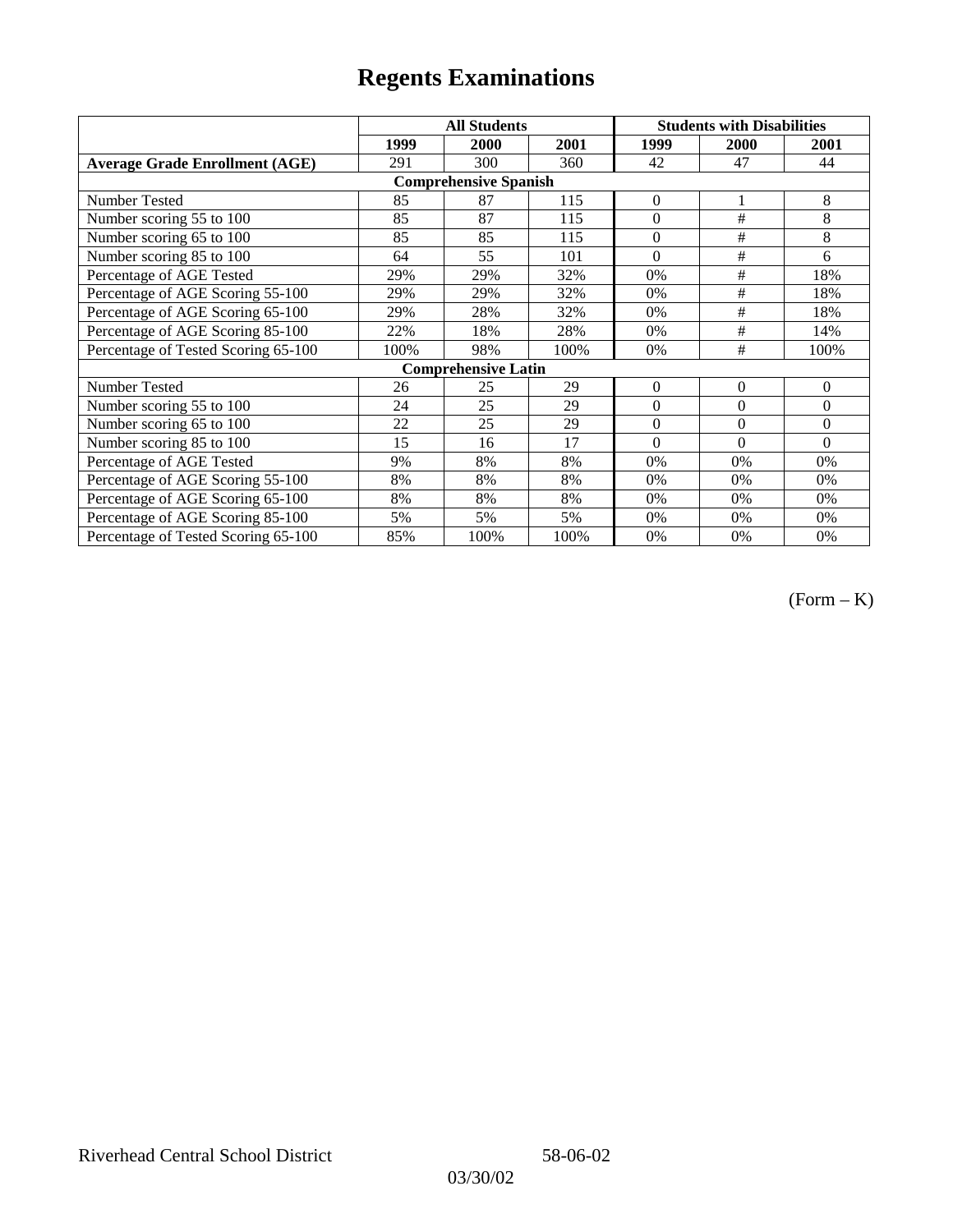|                                       |      | <b>All Students</b>        |      | <b>Students with Disabilities</b> |                |              |  |  |
|---------------------------------------|------|----------------------------|------|-----------------------------------|----------------|--------------|--|--|
|                                       | 1999 | 2000                       | 2001 | 1999                              | <b>2000</b>    | 2001         |  |  |
| <b>Average Grade Enrollment (AGE)</b> | 291  | 300                        | 360  | 42                                | 47             | 44           |  |  |
| <b>Comprehensive Spanish</b>          |      |                            |      |                                   |                |              |  |  |
| <b>Number Tested</b>                  | 85   | 87                         | 115  | $\overline{0}$                    | 1              | 8            |  |  |
| Number scoring 55 to 100              | 85   | 87                         | 115  | $\theta$                          | #              | 8            |  |  |
| Number scoring 65 to 100              | 85   | 85                         | 115  | $\overline{0}$                    | #              | 8            |  |  |
| Number scoring 85 to 100              | 64   | 55                         | 101  | $\theta$                          | #              | 6            |  |  |
| Percentage of AGE Tested              | 29%  | 29%                        | 32%  | $0\%$                             | #              | 18%          |  |  |
| Percentage of AGE Scoring 55-100      | 29%  | 29%                        | 32%  | 0%                                | $\#$           | 18%          |  |  |
| Percentage of AGE Scoring 65-100      | 29%  | 28%                        | 32%  | 0%                                | #              | 18%          |  |  |
| Percentage of AGE Scoring 85-100      | 22%  | 18%                        | 28%  | 0%                                | #              | 14%          |  |  |
| Percentage of Tested Scoring 65-100   | 100% | 98%                        | 100% | 0%                                | #              | 100%         |  |  |
|                                       |      | <b>Comprehensive Latin</b> |      |                                   |                |              |  |  |
| Number Tested                         | 26   | 25                         | 29   | $\overline{0}$                    | $\overline{0}$ | $\mathbf{0}$ |  |  |
| Number scoring 55 to 100              | 24   | 25                         | 29   | $\overline{0}$                    | $\overline{0}$ | $\Omega$     |  |  |
| Number scoring 65 to 100              | 22   | 25                         | 29   | $\theta$                          | $\theta$       | $\Omega$     |  |  |
| Number scoring 85 to 100              | 15   | 16                         | 17   | $\theta$                          | $\theta$       | $\Omega$     |  |  |
| Percentage of AGE Tested              | 9%   | 8%                         | 8%   | 0%                                | 0%             | 0%           |  |  |
| Percentage of AGE Scoring 55-100      | 8%   | 8%                         | 8%   | 0%                                | 0%             | 0%           |  |  |
| Percentage of AGE Scoring 65-100      | 8%   | 8%                         | 8%   | 0%                                | 0%             | 0%           |  |  |
| Percentage of AGE Scoring 85-100      | 5%   | 5%                         | 5%   | $0\%$                             | 0%             | $0\%$        |  |  |
| Percentage of Tested Scoring 65-100   | 85%  | 100%                       | 100% | $0\%$                             | 0%             | 0%           |  |  |

(Form – K)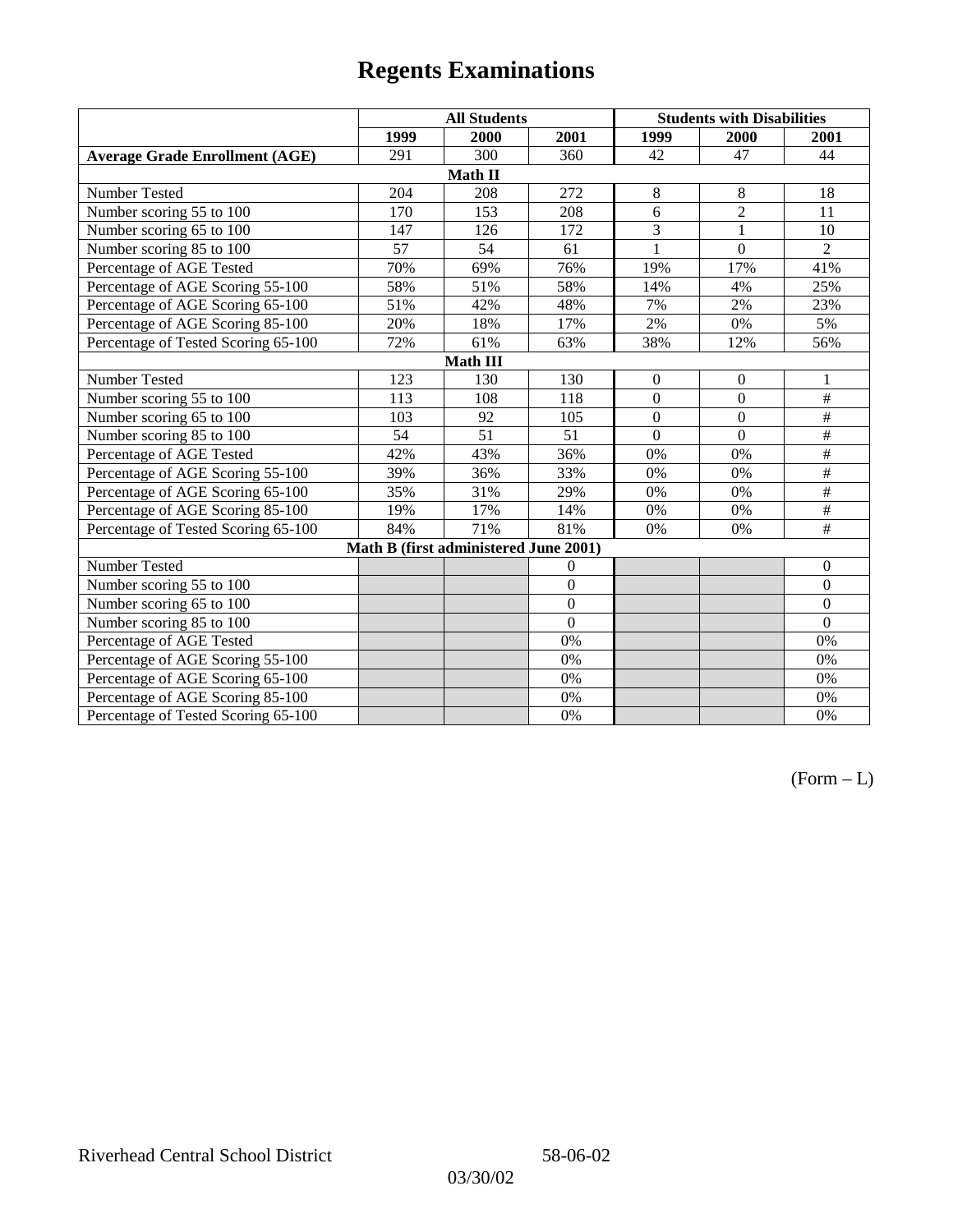|                                       | <b>All Students</b> |                                       |                |                  | <b>Students with Disabilities</b> |                          |  |  |
|---------------------------------------|---------------------|---------------------------------------|----------------|------------------|-----------------------------------|--------------------------|--|--|
|                                       | 1999                | 2000                                  | 2001           | 1999             | 2000                              | 2001                     |  |  |
| <b>Average Grade Enrollment (AGE)</b> | 291                 | 300                                   | 360            | 42               | 47                                | 44                       |  |  |
|                                       |                     | Math II                               |                |                  |                                   |                          |  |  |
| Number Tested                         | 204                 | 208                                   | 272            | 8                | 8                                 | 18                       |  |  |
| Number scoring 55 to 100              | 170                 | 153                                   | 208            | 6                | $\overline{2}$                    | 11                       |  |  |
| Number scoring 65 to 100              | 147                 | 126                                   | 172            | 3                | $\mathbf{1}$                      | 10                       |  |  |
| Number scoring 85 to 100              | 57                  | 54                                    | 61             | 1                | $\mathbf{0}$                      | 2                        |  |  |
| Percentage of AGE Tested              | 70%                 | 69%                                   | 76%            | 19%              | 17%                               | 41%                      |  |  |
| Percentage of AGE Scoring 55-100      | 58%                 | 51%                                   | 58%            | 14%              | 4%                                | 25%                      |  |  |
| Percentage of AGE Scoring 65-100      | 51%                 | 42%                                   | 48%            | 7%               | 2%                                | 23%                      |  |  |
| Percentage of AGE Scoring 85-100      | 20%                 | 18%                                   | 17%            | 2%               | $0\%$                             | 5%                       |  |  |
| Percentage of Tested Scoring 65-100   | 72%                 | 61%                                   | 63%            | 38%              | 12%                               | 56%                      |  |  |
| <b>Math III</b>                       |                     |                                       |                |                  |                                   |                          |  |  |
| Number Tested                         | 123                 | 130                                   | 130            | $\boldsymbol{0}$ | $\mathbf{0}$                      | 1                        |  |  |
| Number scoring 55 to 100              | 113                 | 108                                   | 118            | $\mathbf{0}$     | $\boldsymbol{0}$                  | $\#$                     |  |  |
| Number scoring 65 to 100              | 103                 | 92                                    | 105            | $\overline{0}$   | $\mathbf{0}$                      | $\#$                     |  |  |
| Number scoring 85 to 100              | 54                  | 51                                    | 51             | $\overline{0}$   | $\overline{0}$                    | $\#$                     |  |  |
| Percentage of AGE Tested              | 42%                 | 43%                                   | 36%            | $0\%$            | 0%                                | $\overline{\#}$          |  |  |
| Percentage of AGE Scoring 55-100      | 39%                 | 36%                                   | 33%            | $0\%$            | 0%                                | $\overline{\overline{}}$ |  |  |
| Percentage of AGE Scoring 65-100      | 35%                 | 31%                                   | 29%            | $0\%$            | 0%                                | $\#$                     |  |  |
| Percentage of AGE Scoring 85-100      | 19%                 | 17%                                   | 14%            | $0\%$            | 0%                                | $\#$                     |  |  |
| Percentage of Tested Scoring 65-100   | 84%                 | 71%                                   | 81%            | 0%               | 0%                                | $\#$                     |  |  |
|                                       |                     | Math B (first administered June 2001) |                |                  |                                   |                          |  |  |
| Number Tested                         |                     |                                       | $\overline{0}$ |                  |                                   | $\boldsymbol{0}$         |  |  |
| Number scoring 55 to 100              |                     |                                       | $\overline{0}$ |                  |                                   | $\boldsymbol{0}$         |  |  |
| Number scoring 65 to 100              |                     |                                       | $\overline{0}$ |                  |                                   | $\mathbf{0}$             |  |  |
| Number scoring 85 to 100              |                     |                                       | $\overline{0}$ |                  |                                   | $\overline{0}$           |  |  |
| Percentage of AGE Tested              |                     |                                       | 0%             |                  |                                   | 0%                       |  |  |
| Percentage of AGE Scoring 55-100      |                     |                                       | 0%             |                  |                                   | $0\%$                    |  |  |
| Percentage of AGE Scoring 65-100      |                     |                                       | 0%             |                  |                                   | 0%                       |  |  |
| Percentage of AGE Scoring 85-100      |                     |                                       | 0%             |                  |                                   | 0%                       |  |  |
| Percentage of Tested Scoring 65-100   |                     |                                       | 0%             |                  |                                   | 0%                       |  |  |

 $(Form - L)$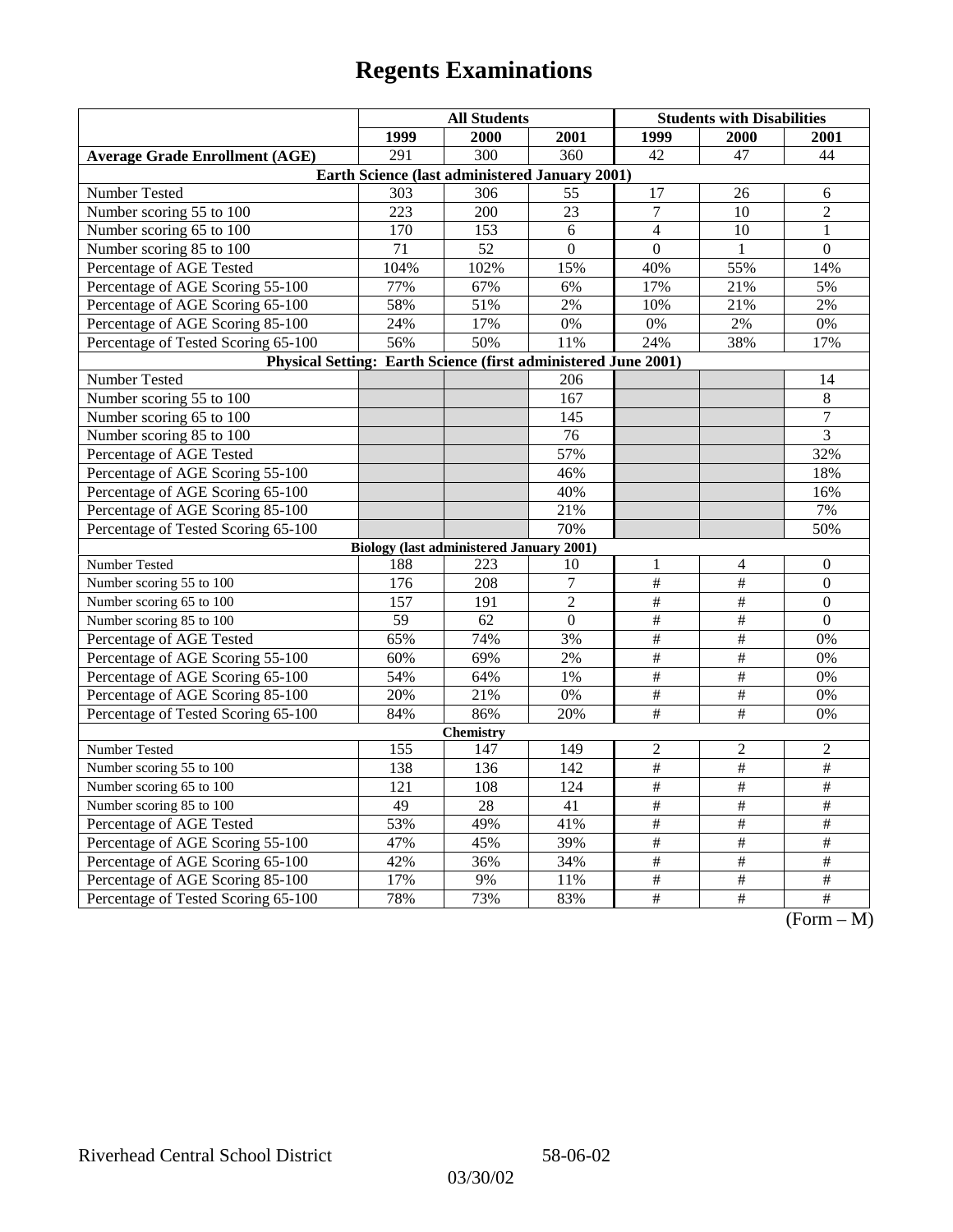|                                                                | <b>All Students</b> |                                                 |                  | <b>Students with Disabilities</b> |                      |                                                                           |  |  |
|----------------------------------------------------------------|---------------------|-------------------------------------------------|------------------|-----------------------------------|----------------------|---------------------------------------------------------------------------|--|--|
|                                                                | 1999                | 2000                                            | 2001             | 1999                              | 2000                 | 2001                                                                      |  |  |
| <b>Average Grade Enrollment (AGE)</b>                          | 291                 | $\overline{300}$                                | 360              | 42                                | 47                   | 44                                                                        |  |  |
| Earth Science (last administered January 2001)                 |                     |                                                 |                  |                                   |                      |                                                                           |  |  |
| Number Tested                                                  | 303                 | 306                                             | 55               | 17                                | 26                   | 6                                                                         |  |  |
| Number scoring 55 to 100                                       | 223                 | 200                                             | 23               | $\overline{7}$                    | 10                   | $\overline{2}$                                                            |  |  |
| Number scoring 65 to 100                                       | 170                 | 153                                             | 6                | $\overline{4}$                    | 10                   | $\mathbf{1}$                                                              |  |  |
| Number scoring 85 to 100                                       | 71                  | 52                                              | $\overline{0}$   | $\mathbf{0}$                      | $\mathbf{1}$         | $\mathbf{0}$                                                              |  |  |
| Percentage of AGE Tested                                       | 104%                | 102%                                            | 15%              | 40%                               | 55%                  | 14%                                                                       |  |  |
| Percentage of AGE Scoring 55-100                               | 77%                 | 67%                                             | 6%               | 17%                               | 21%                  | 5%                                                                        |  |  |
| Percentage of AGE Scoring 65-100                               | 58%                 | 51%                                             | 2%               | 10%                               | 21%                  | 2%                                                                        |  |  |
| Percentage of AGE Scoring 85-100                               | 24%                 | 17%                                             | $0\%$            | 0%                                | 2%                   | 0%                                                                        |  |  |
| Percentage of Tested Scoring 65-100                            | 56%                 | 50%                                             | 11%              | 24%                               | 38%                  | 17%                                                                       |  |  |
| Physical Setting: Earth Science (first administered June 2001) |                     |                                                 |                  |                                   |                      |                                                                           |  |  |
| Number Tested                                                  |                     |                                                 | 206              |                                   |                      | 14                                                                        |  |  |
| Number scoring 55 to 100                                       |                     |                                                 | 167              |                                   |                      | 8                                                                         |  |  |
| Number scoring 65 to 100                                       |                     |                                                 | 145              |                                   |                      | $\boldsymbol{7}$                                                          |  |  |
| Number scoring 85 to 100                                       |                     |                                                 | 76               |                                   |                      | 3                                                                         |  |  |
| Percentage of AGE Tested                                       |                     |                                                 | 57%              |                                   |                      | 32%                                                                       |  |  |
| Percentage of AGE Scoring 55-100                               |                     |                                                 | 46%              |                                   |                      | 18%                                                                       |  |  |
| Percentage of AGE Scoring 65-100                               |                     |                                                 | 40%              |                                   |                      | 16%                                                                       |  |  |
| Percentage of AGE Scoring 85-100                               |                     |                                                 | 21%              |                                   |                      | 7%                                                                        |  |  |
| Percentage of Tested Scoring 65-100                            |                     |                                                 | 70%              |                                   |                      | 50%                                                                       |  |  |
|                                                                |                     | <b>Biology (last administered January 2001)</b> |                  |                                   |                      |                                                                           |  |  |
| Number Tested                                                  | 188                 | 223                                             | 10               | 1                                 | 4                    | $\boldsymbol{0}$                                                          |  |  |
| Number scoring 55 to 100                                       | 176                 | 208                                             | $\overline{7}$   | $\#$                              | #                    | $\mathbf{0}$                                                              |  |  |
| Number scoring 65 to 100                                       | 157                 | 191                                             | $\overline{2}$   | $\#$                              | $\#$                 | $\theta$                                                                  |  |  |
| Number scoring 85 to 100                                       | 59                  | 62                                              | $\boldsymbol{0}$ | $\overline{\#}$                   | $\overline{\ddot{}}$ | $\Omega$                                                                  |  |  |
| Percentage of AGE Tested                                       | 65%                 | 74%                                             | 3%               | $\overline{\#}$                   | $\overline{\#}$      | 0%                                                                        |  |  |
| Percentage of AGE Scoring 55-100                               | 60%                 | 69%                                             | 2%               | $\overline{\#}$                   | $\#$                 | 0%                                                                        |  |  |
| Percentage of AGE Scoring 65-100                               | 54%                 | 64%                                             | 1%               | $\#$                              | $\#$                 | 0%                                                                        |  |  |
| Percentage of AGE Scoring 85-100                               | 20%                 | 21%                                             | 0%               | $\overline{\#}$                   | $\overline{\#}$      | 0%                                                                        |  |  |
| Percentage of Tested Scoring 65-100                            | 84%                 | 86%                                             | 20%              | $\overline{\#}$                   | $\overline{\#}$      | 0%                                                                        |  |  |
| <b>Chemistry</b>                                               |                     |                                                 |                  |                                   |                      |                                                                           |  |  |
| Number Tested                                                  | 155                 | 147                                             | 149              | $\mathfrak{2}$                    | $\mathfrak{2}$       | $\overline{c}$                                                            |  |  |
| Number scoring 55 to 100                                       | 138                 | 136                                             | 142              | $\overline{\#}$                   | $\overline{\#}$      | $\overline{\#}$                                                           |  |  |
| Number scoring 65 to 100                                       | 121                 | 108                                             | 124              | $\frac{1}{2}$                     | $\frac{1}{2}$        | $\frac{1}{2}$                                                             |  |  |
| Number scoring 85 to 100                                       | 49                  | 28                                              | 41               | $\#$                              | $\#$                 | $\#$                                                                      |  |  |
| Percentage of AGE Tested                                       | 53%                 | 49%                                             | 41%              | $\#$                              | $\#$                 | $\#$                                                                      |  |  |
| Percentage of AGE Scoring 55-100                               | 47%                 | 45%                                             | 39%              | $\#$                              | #                    | #                                                                         |  |  |
| Percentage of AGE Scoring 65-100                               | 42%                 | 36%                                             | 34%              | $\overline{\#}$                   | $\overline{\#}$      | $\overline{\#}$                                                           |  |  |
| Percentage of AGE Scoring 85-100                               | 17%                 | 9%                                              | 11%              | $\frac{1}{2}$                     | $\overline{\#}$      | $\overline{\#}$                                                           |  |  |
| Percentage of Tested Scoring 65-100                            | 78%                 | 73%                                             | 83%              | $\#$                              | $\overline{+}$       | $\overline{+}$<br>$\Gamma$ <sub><math>\alpha</math></sub><br>$\mathbf{M}$ |  |  |

(Form – M)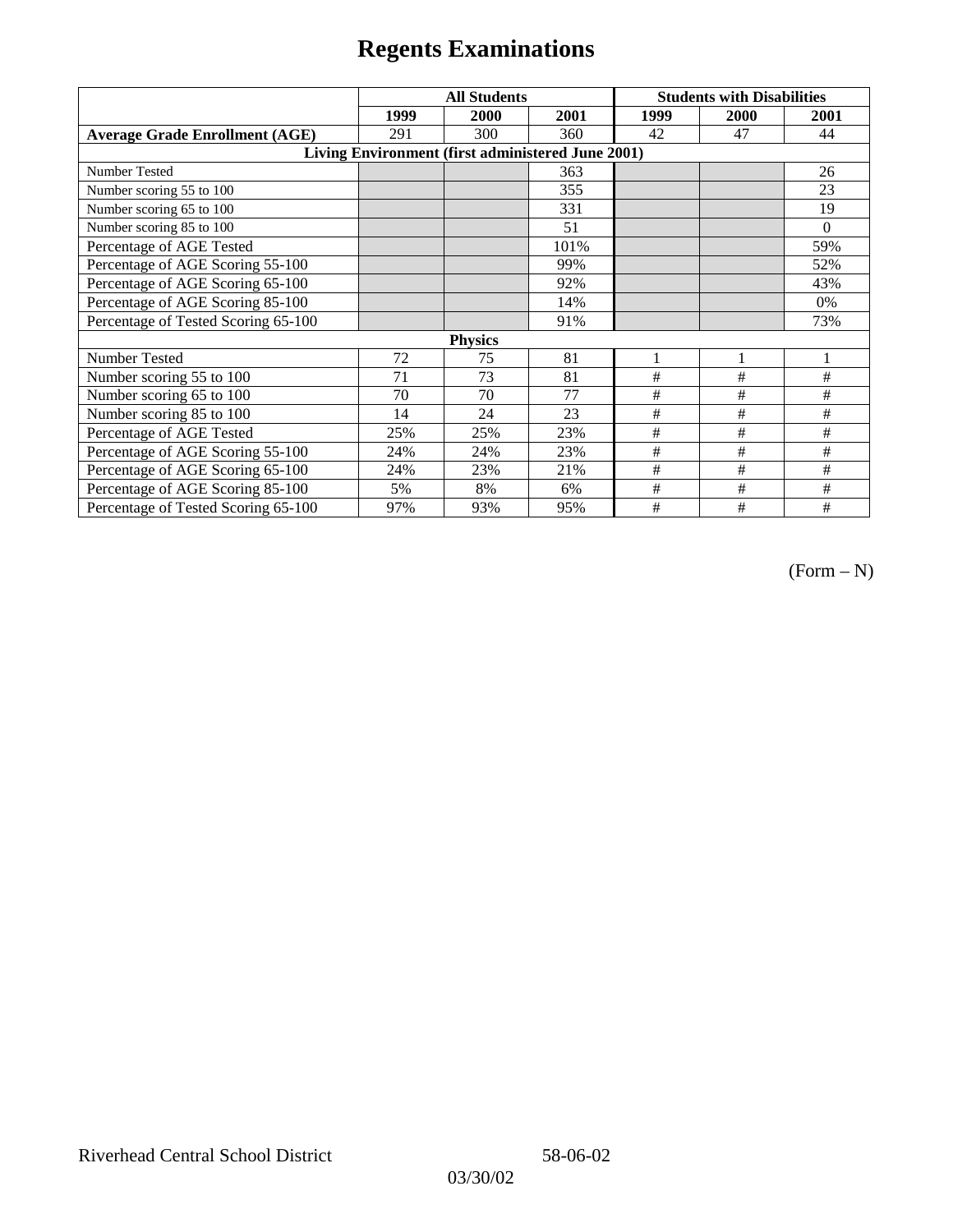|                                                   | <b>All Students</b> |      |      | <b>Students with Disabilities</b> |      |          |  |  |
|---------------------------------------------------|---------------------|------|------|-----------------------------------|------|----------|--|--|
|                                                   | 1999                | 2000 | 2001 | 1999                              | 2000 | 2001     |  |  |
| <b>Average Grade Enrollment (AGE)</b>             | 291                 | 300  | 360  | 42                                | 47   | 44       |  |  |
| Living Environment (first administered June 2001) |                     |      |      |                                   |      |          |  |  |
| <b>Number Tested</b>                              |                     |      | 363  |                                   |      | 26       |  |  |
| Number scoring 55 to 100                          |                     |      | 355  |                                   |      | 23       |  |  |
| Number scoring 65 to 100                          |                     |      | 331  |                                   |      | 19       |  |  |
| Number scoring 85 to 100                          |                     |      | 51   |                                   |      | $\Omega$ |  |  |
| Percentage of AGE Tested                          |                     |      | 101% |                                   |      | 59%      |  |  |
| Percentage of AGE Scoring 55-100                  |                     |      | 99%  |                                   |      | 52%      |  |  |
| Percentage of AGE Scoring 65-100                  |                     |      | 92%  |                                   |      | 43%      |  |  |
| Percentage of AGE Scoring 85-100                  |                     |      | 14%  |                                   |      | $0\%$    |  |  |
| Percentage of Tested Scoring 65-100               |                     |      | 91%  |                                   |      | 73%      |  |  |
| <b>Physics</b>                                    |                     |      |      |                                   |      |          |  |  |
| <b>Number Tested</b>                              | 72                  | 75   | 81   |                                   |      |          |  |  |
| Number scoring 55 to 100                          | 71                  | 73   | 81   | $\#$                              | #    | #        |  |  |
| Number scoring 65 to 100                          | 70                  | 70   | 77   | $\#$                              | #    | #        |  |  |
| Number scoring 85 to 100                          | 14                  | 24   | 23   | #                                 | #    | #        |  |  |
| Percentage of AGE Tested                          | 25%                 | 25%  | 23%  | #                                 | #    | #        |  |  |
| Percentage of AGE Scoring 55-100                  | 24%                 | 24%  | 23%  | $\#$                              | $\#$ | #        |  |  |
| Percentage of AGE Scoring 65-100                  | 24%                 | 23%  | 21%  | #                                 | #    | #        |  |  |
| Percentage of AGE Scoring 85-100                  | 5%                  | 8%   | 6%   | #                                 | #    | #        |  |  |
| Percentage of Tested Scoring 65-100               | 97%                 | 93%  | 95%  | #                                 | #    | #        |  |  |

(Form – N)